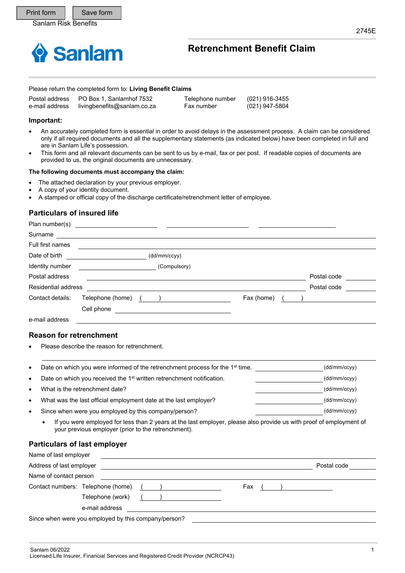

# **Retrenchment Benefit Claim**

#### Please return the completed form to: **Living Benefit Claims**

|                | Postal address  PO Box 1, Sanlamhof 7532 | Telephone number | (021) 916-3455 |  |
|----------------|------------------------------------------|------------------|----------------|--|
| e-mail address | livingbenefits@sanlam.co.za              | Fax number       | (021) 947-5804 |  |

#### **Important:**

Plan number(s)

- An accurately completed form is essential in order to avoid delays in the assessment process. A claim can be considered only if all required documents and all the supplementary statements (as indicated below) have been completed in full and are in Sanlam Life's possession.
- This form and all relevant documents can be sent to us by e-mail, fax or per post. If readable copies of documents are provided to us, the original documents are unnecessary.

#### **The following documents must accompany the claim:**

- The attached declaration by your previous employer.
- A copy of your identity document.
- A stamped or official copy of the discharge certificate/retrenchment letter of employee.

### **Particulars of insured life**

| $\overline{1}$ ratification is a set of $\overline{5}$ |                  |              |            |             |
|--------------------------------------------------------|------------------|--------------|------------|-------------|
| Surname                                                |                  |              |            |             |
| Full first names                                       |                  |              |            |             |
| Date of birth                                          |                  | (dd/mm/ccyy) |            |             |
| Identity number                                        |                  | (Compulsory) |            |             |
| Postal address                                         |                  |              |            | Postal code |
| Residential address                                    |                  |              |            | Postal code |
| Contact details:                                       | Telephone (home) |              | Fax (home) |             |
|                                                        | Cell phone       |              |            |             |
| e-mail address                                         |                  |              |            |             |
|                                                        |                  |              |            |             |

#### **Reason for retrenchment**

Please describe the reason for retrenchment.

| $\bullet$ | Date on which you were informed of the retrenchment process for the 1 <sup>st</sup> time. | (dd/mm/ccyy) |
|-----------|-------------------------------------------------------------------------------------------|--------------|
| $\bullet$ | Date on which you received the 1 <sup>st</sup> written retrenchment notification.         | (dd/mm/ccyy) |
| $\bullet$ | What is the retrenchment date?                                                            | (dd/mm/ccyy) |
| $\bullet$ | What was the last official employment date at the last employer?                          | (dd/mm/ccyy) |
| ٠         | Since when were you employed by this company/person?                                      | (dd/mm/ccyy) |

 If you were employed for less than 2 years at the last employer, please also provide us with proof of employment of your previous employer (prior to the retrenchment).

#### **Particulars of last employer**

| Address of last employer          |       |     | Postal code |
|-----------------------------------|-------|-----|-------------|
| Name of contact person            |       |     |             |
| Contact numbers: Telephone (home) | $($ ) | Fax |             |
| Telephone (work)                  |       |     |             |
| e-mail address                    |       |     |             |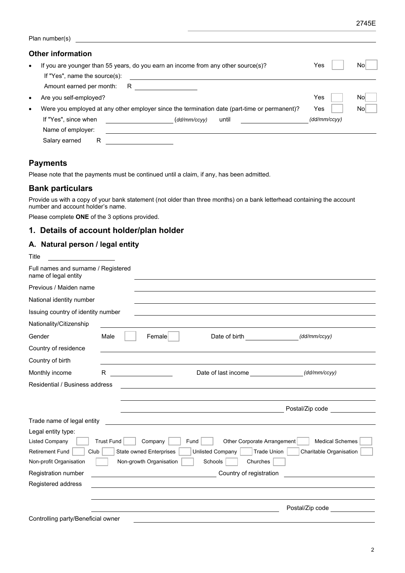|           | Plan number(s)                                                                                                     |              |     |
|-----------|--------------------------------------------------------------------------------------------------------------------|--------------|-----|
|           | <b>Other information</b>                                                                                           |              |     |
| $\bullet$ | If you are younger than 55 years, do you earn an income from any other source(s)?<br>If "Yes", name the source(s): | Yes          | Nο  |
|           | Amount earned per month:<br>R                                                                                      |              |     |
| $\bullet$ | Are you self-employed?                                                                                             | Yes          | No  |
| $\bullet$ | Were you employed at any other employer since the termination date (part-time or permanent)?                       | Yes          | Nol |
|           | If "Yes", since when<br>(dd/mm/ccyy)<br>until                                                                      | (dd/mm/ccyy) |     |
|           | Name of employer:                                                                                                  |              |     |
|           | Salary earned<br>R                                                                                                 |              |     |

## **Payments**

Please note that the payments must be continued until a claim, if any, has been admitted.

### **Bank particulars**

Provide us with a copy of your bank statement (not older than three months) on a bank letterhead containing the account number and account holder's name.

Please complete **ONE** of the 3 options provided.

## **1. Details of account holder/plan holder**

### **A. Natural person / legal entity**

| Title                                                       |                                |                                                                         |                         |
|-------------------------------------------------------------|--------------------------------|-------------------------------------------------------------------------|-------------------------|
| Full names and surname / Registered<br>name of legal entity |                                |                                                                         |                         |
| Previous / Maiden name                                      |                                |                                                                         |                         |
| National identity number                                    |                                |                                                                         |                         |
| Issuing country of identity number                          |                                |                                                                         |                         |
| Nationality/Citizenship                                     |                                |                                                                         |                         |
| Gender                                                      | Male<br>Female                 | Date of birth <b>Exercise 20</b>                                        | (dd/mm/ccyy)            |
| Country of residence                                        |                                |                                                                         |                         |
| Country of birth                                            |                                |                                                                         |                         |
| Monthly income                                              | R.                             | Date of last income _____________________(dd/mm/ccyy)                   |                         |
| Residential / Business address                              |                                |                                                                         |                         |
|                                                             |                                |                                                                         |                         |
|                                                             |                                | Postal/Zip code and the contract of the contract of the Postal/Zip code |                         |
| Trade name of legal entity                                  |                                |                                                                         |                         |
| Legal entity type:                                          |                                |                                                                         |                         |
| <b>Listed Company</b>                                       | <b>Trust Fund</b><br>Company   | Other Corporate Arrangement<br>Fund                                     | <b>Medical Schemes</b>  |
| <b>Retirement Fund</b><br>Club                              | <b>State owned Enterprises</b> | <b>Unlisted Company</b><br>Trade Union                                  | Charitable Organisation |
| Non-profit Organisation                                     | Non-growth Organisation        | Schools<br>Churches                                                     |                         |
| Registration number                                         |                                | Country of registration                                                 |                         |
| Registered address                                          |                                |                                                                         |                         |
|                                                             |                                |                                                                         |                         |
|                                                             |                                |                                                                         | Postal/Zip code         |
| Controlling party/Beneficial owner                          |                                |                                                                         |                         |

2745E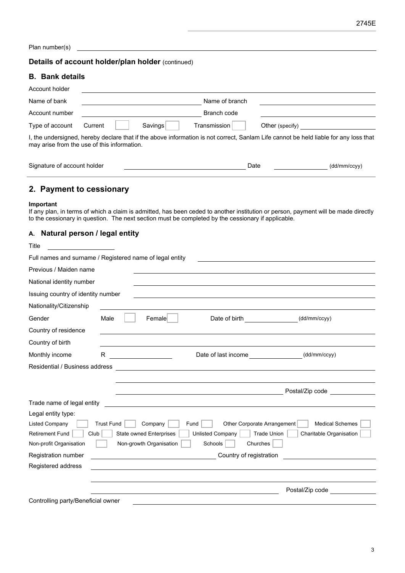Plan number(s)

### **Details of account holder/plan holder** (continued)

#### **B. Bank details**

| Account holder                              |         |         |                |                                                                                                                                      |
|---------------------------------------------|---------|---------|----------------|--------------------------------------------------------------------------------------------------------------------------------------|
| Name of bank                                |         |         | Name of branch |                                                                                                                                      |
| Account number                              |         |         | Branch code    |                                                                                                                                      |
| Type of account                             | Current | Savings | Transmission   | Other (specify)                                                                                                                      |
| may arise from the use of this information. |         |         |                | I, the undersigned, hereby declare that if the above information is not correct, Sanlam Life cannot be held liable for any loss that |

| Signature of account<br>holder | ⊃ate | $\mathcal{U}$ |
|--------------------------------|------|---------------|
|                                |      |               |

## **2. Payment to cessionary**

#### **Important**

If any plan, in terms of which a claim is admitted, has been ceded to another institution or person, payment will be made directly to the cessionary in question. The next section must be completed by the cessionary if applicable.

### **A. Natural person / legal entity**

| Title                                                    |                   |                                                                                                                      |                                                                                                                      |
|----------------------------------------------------------|-------------------|----------------------------------------------------------------------------------------------------------------------|----------------------------------------------------------------------------------------------------------------------|
| Full names and surname / Registered name of legal entity |                   |                                                                                                                      |                                                                                                                      |
| Previous / Maiden name                                   |                   |                                                                                                                      |                                                                                                                      |
| National identity number                                 |                   |                                                                                                                      |                                                                                                                      |
| Issuing country of identity number                       |                   |                                                                                                                      |                                                                                                                      |
| Nationality/Citizenship                                  |                   |                                                                                                                      |                                                                                                                      |
| Gender                                                   | Male              | Date of birth <b>contains the contact of birth</b><br>Female                                                         | (dd/mm/ccyy)                                                                                                         |
| Country of residence                                     |                   |                                                                                                                      |                                                                                                                      |
| Country of birth                                         |                   |                                                                                                                      |                                                                                                                      |
| Monthly income                                           | R                 | Date of last income <b>Example 20</b><br><u> 1990 - Johann Barbara, martin a</u>                                     | (dd/mm/ccyy)                                                                                                         |
| Residential / Business address                           |                   |                                                                                                                      |                                                                                                                      |
|                                                          |                   |                                                                                                                      |                                                                                                                      |
|                                                          |                   |                                                                                                                      | Postal/Zip code                                                                                                      |
| Trade name of legal entity                               |                   | <u> 1989 - Andrea State Barbara, amerikan personal di sebagai personal di sebagai personal di sebagai personal d</u> |                                                                                                                      |
| Legal entity type:                                       |                   |                                                                                                                      |                                                                                                                      |
| <b>Listed Company</b>                                    | <b>Trust Fund</b> | Company<br>Fund                                                                                                      | Other Corporate Arrangement<br><b>Medical Schemes</b>                                                                |
| <b>Retirement Fund</b>                                   | Club              | <b>State owned Enterprises</b><br><b>Unlisted Company</b>                                                            | <b>Trade Union</b><br>Charitable Organisation                                                                        |
| Non-profit Organisation                                  |                   | Non-growth Organisation<br>Schools                                                                                   | Churches                                                                                                             |
| Registration number                                      |                   | Country of registration                                                                                              | <u> 1989 - Jan Barbara Barbara, prima popular popular popular popular popular popular popular popular popular po</u> |
| Registered address                                       |                   |                                                                                                                      |                                                                                                                      |
|                                                          |                   |                                                                                                                      |                                                                                                                      |
|                                                          |                   |                                                                                                                      | Postal/Zip code                                                                                                      |
| Controlling party/Beneficial owner                       |                   |                                                                                                                      |                                                                                                                      |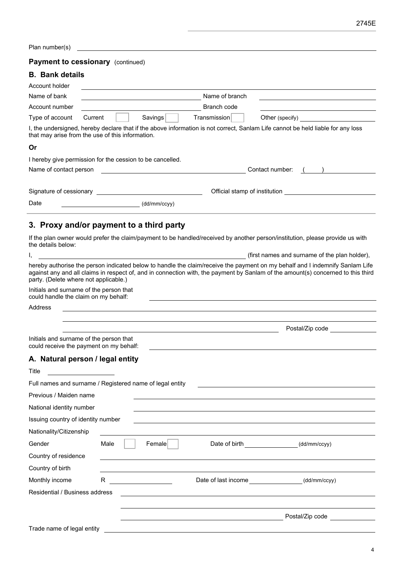Plan number(s)

### **Payment to cessionary** (continued)

### **B. Bank details**

| Account holder                                            |         |              |                |                                                                                                                                 |
|-----------------------------------------------------------|---------|--------------|----------------|---------------------------------------------------------------------------------------------------------------------------------|
| Name of bank                                              |         |              | Name of branch |                                                                                                                                 |
| Account number                                            |         |              | Branch code    |                                                                                                                                 |
| Type of account                                           | Current | Savings      | Transmission   | Other (specify)                                                                                                                 |
| that may arise from the use of this information.          |         |              |                | I, the undersigned, hereby declare that if the above information is not correct, Sanlam Life cannot be held liable for any loss |
| Or                                                        |         |              |                |                                                                                                                                 |
| I hereby give permission for the cession to be cancelled. |         |              |                |                                                                                                                                 |
| Name of contact person                                    |         |              |                | Contact number:                                                                                                                 |
|                                                           |         |              |                |                                                                                                                                 |
| Signature of cessionary                                   |         |              |                | Official stamp of institution                                                                                                   |
| Date                                                      |         | (dd/mm/ccyy) |                |                                                                                                                                 |

# **3. Proxy and/or payment to a third party**

If the plan owner would prefer the claim/payment to be handled/received by another person/institution, please provide us with the details below:

|                                                                                    |      |        |                                       | (first names and surname of the plan holder),                                                                                                                                                                                                                    |
|------------------------------------------------------------------------------------|------|--------|---------------------------------------|------------------------------------------------------------------------------------------------------------------------------------------------------------------------------------------------------------------------------------------------------------------|
| party. (Delete where not applicable.)                                              |      |        |                                       | hereby authorise the person indicated below to handle the claim/receive the payment on my behalf and I indemnify Sanlam Life<br>against any and all claims in respect of, and in connection with, the payment by Sanlam of the amount(s) concerned to this third |
| Initials and surname of the person that<br>could handle the claim on my behalf:    |      |        |                                       |                                                                                                                                                                                                                                                                  |
| Address                                                                            |      |        |                                       |                                                                                                                                                                                                                                                                  |
|                                                                                    |      |        |                                       | Postal/Zip code <b>Contains the Containment</b>                                                                                                                                                                                                                  |
| Initials and surname of the person that<br>could receive the payment on my behalf: |      |        |                                       |                                                                                                                                                                                                                                                                  |
| A. Natural person / legal entity                                                   |      |        |                                       |                                                                                                                                                                                                                                                                  |
| Title                                                                              |      |        |                                       |                                                                                                                                                                                                                                                                  |
| Full names and surname / Registered name of legal entity                           |      |        |                                       |                                                                                                                                                                                                                                                                  |
| Previous / Maiden name                                                             |      |        |                                       |                                                                                                                                                                                                                                                                  |
| National identity number                                                           |      |        |                                       |                                                                                                                                                                                                                                                                  |
| Issuing country of identity number                                                 |      |        |                                       |                                                                                                                                                                                                                                                                  |
| Nationality/Citizenship                                                            |      |        |                                       |                                                                                                                                                                                                                                                                  |
| Gender                                                                             | Male | Female | Date of birth <b>Exercise 20</b>      | (dd/mm/ccyy)                                                                                                                                                                                                                                                     |
| Country of residence                                                               |      |        |                                       |                                                                                                                                                                                                                                                                  |
| Country of birth                                                                   |      |        |                                       |                                                                                                                                                                                                                                                                  |
| Monthly income                                                                     | R.   |        | Date of last income <b>Example 20</b> | (dd/mm/ccyy)                                                                                                                                                                                                                                                     |
| Residential / Business address                                                     |      |        |                                       |                                                                                                                                                                                                                                                                  |
|                                                                                    |      |        |                                       | Postal/Zip code                                                                                                                                                                                                                                                  |
| Trade name of legal entity                                                         |      |        |                                       |                                                                                                                                                                                                                                                                  |